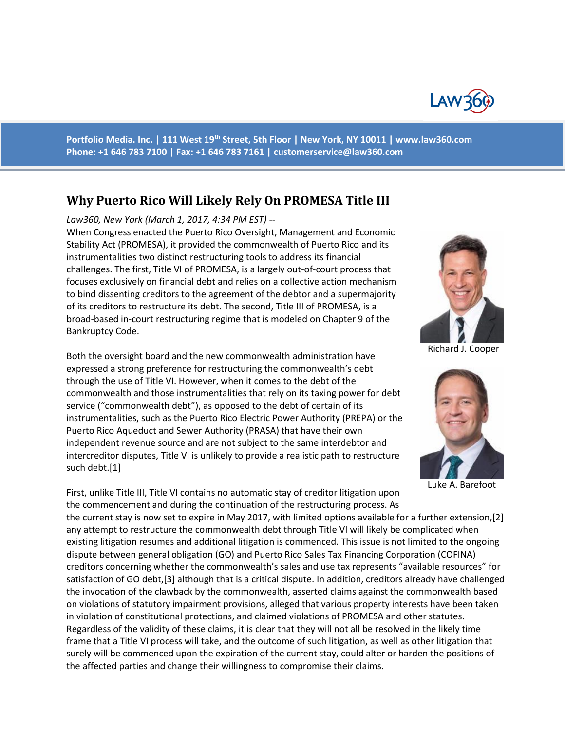

**Portfolio Media. Inc. | 111 West 19th Street, 5th Floor | New York, NY 10011 | www.law360.com Phone: +1 646 783 7100 | Fax: +1 646 783 7161 | [customerservice@law360.com](mailto:customerservice@law360.com)**

## **Why Puerto Rico Will Likely Rely On PROMESA Title III**

## *Law360, New York (March 1, 2017, 4:34 PM EST) --*

When Congress enacted the Puerto Rico Oversight, Management and Economic Stability Act (PROMESA), it provided the commonwealth of Puerto Rico and its instrumentalities two distinct restructuring tools to address its financial challenges. The first, Title VI of PROMESA, is a largely out-of-court process that focuses exclusively on financial debt and relies on a collective action mechanism to bind dissenting creditors to the agreement of the debtor and a supermajority of its creditors to restructure its debt. The second, Title III of PROMESA, is a broad-based in-court restructuring regime that is modeled on Chapter 9 of the Bankruptcy Code.

Both the oversight board and the new commonwealth administration have expressed a strong preference for restructuring the commonwealth's debt through the use of Title VI. However, when it comes to the debt of the commonwealth and those instrumentalities that rely on its taxing power for debt service ("commonwealth debt"), as opposed to the debt of certain of its instrumentalities, such as the Puerto Rico Electric Power Authority (PREPA) or the Puerto Rico Aqueduct and Sewer Authority (PRASA) that have their own independent revenue source and are not subject to the same interdebtor and intercreditor disputes, Title VI is unlikely to provide a realistic path to restructure such debt.[1]

First, unlike Title III, Title VI contains no automatic stay of creditor litigation upon the commencement and during the continuation of the restructuring process. As

the current stay is now set to expire in May 2017, with limited options available for a further extension,[2] any attempt to restructure the commonwealth debt through Title VI will likely be complicated when existing litigation resumes and additional litigation is commenced. This issue is not limited to the ongoing dispute between general obligation (GO) and Puerto Rico Sales Tax Financing Corporation (COFINA) creditors concerning whether the commonwealth's sales and use tax represents "available resources" for satisfaction of GO debt,[3] although that is a critical dispute. In addition, creditors already have challenged the invocation of the clawback by the commonwealth, asserted claims against the commonwealth based on violations of statutory impairment provisions, alleged that various property interests have been taken in violation of constitutional protections, and claimed violations of PROMESA and other statutes. Regardless of the validity of these claims, it is clear that they will not all be resolved in the likely time frame that a Title VI process will take, and the outcome of such litigation, as well as other litigation that surely will be commenced upon the expiration of the current stay, could alter or harden the positions of the affected parties and change their willingness to compromise their claims.



Richard J. Cooper



Luke A. Barefoot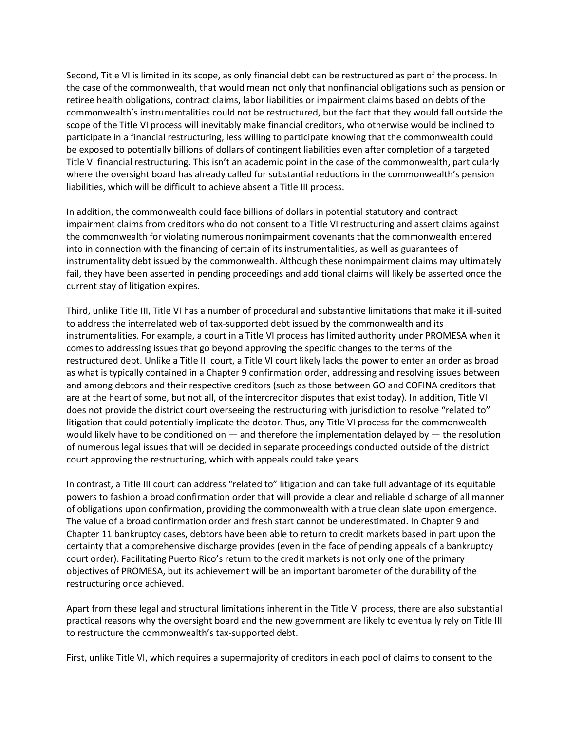Second, Title VI is limited in its scope, as only financial debt can be restructured as part of the process. In the case of the commonwealth, that would mean not only that nonfinancial obligations such as pension or retiree health obligations, contract claims, labor liabilities or impairment claims based on debts of the commonwealth's instrumentalities could not be restructured, but the fact that they would fall outside the scope of the Title VI process will inevitably make financial creditors, who otherwise would be inclined to participate in a financial restructuring, less willing to participate knowing that the commonwealth could be exposed to potentially billions of dollars of contingent liabilities even after completion of a targeted Title VI financial restructuring. This isn't an academic point in the case of the commonwealth, particularly where the oversight board has already called for substantial reductions in the commonwealth's pension liabilities, which will be difficult to achieve absent a Title III process.

In addition, the commonwealth could face billions of dollars in potential statutory and contract impairment claims from creditors who do not consent to a Title VI restructuring and assert claims against the commonwealth for violating numerous nonimpairment covenants that the commonwealth entered into in connection with the financing of certain of its instrumentalities, as well as guarantees of instrumentality debt issued by the commonwealth. Although these nonimpairment claims may ultimately fail, they have been asserted in pending proceedings and additional claims will likely be asserted once the current stay of litigation expires.

Third, unlike Title III, Title VI has a number of procedural and substantive limitations that make it ill-suited to address the interrelated web of tax-supported debt issued by the commonwealth and its instrumentalities. For example, a court in a Title VI process has limited authority under PROMESA when it comes to addressing issues that go beyond approving the specific changes to the terms of the restructured debt. Unlike a Title III court, a Title VI court likely lacks the power to enter an order as broad as what is typically contained in a Chapter 9 confirmation order, addressing and resolving issues between and among debtors and their respective creditors (such as those between GO and COFINA creditors that are at the heart of some, but not all, of the intercreditor disputes that exist today). In addition, Title VI does not provide the district court overseeing the restructuring with jurisdiction to resolve "related to" litigation that could potentially implicate the debtor. Thus, any Title VI process for the commonwealth would likely have to be conditioned on  $-$  and therefore the implementation delayed by  $-$  the resolution of numerous legal issues that will be decided in separate proceedings conducted outside of the district court approving the restructuring, which with appeals could take years.

In contrast, a Title III court can address "related to" litigation and can take full advantage of its equitable powers to fashion a broad confirmation order that will provide a clear and reliable discharge of all manner of obligations upon confirmation, providing the commonwealth with a true clean slate upon emergence. The value of a broad confirmation order and fresh start cannot be underestimated. In Chapter 9 and Chapter 11 bankruptcy cases, debtors have been able to return to credit markets based in part upon the certainty that a comprehensive discharge provides (even in the face of pending appeals of a bankruptcy court order). Facilitating Puerto Rico's return to the credit markets is not only one of the primary objectives of PROMESA, but its achievement will be an important barometer of the durability of the restructuring once achieved.

Apart from these legal and structural limitations inherent in the Title VI process, there are also substantial practical reasons why the oversight board and the new government are likely to eventually rely on Title III to restructure the commonwealth's tax-supported debt.

First, unlike Title VI, which requires a supermajority of creditors in each pool of claims to consent to the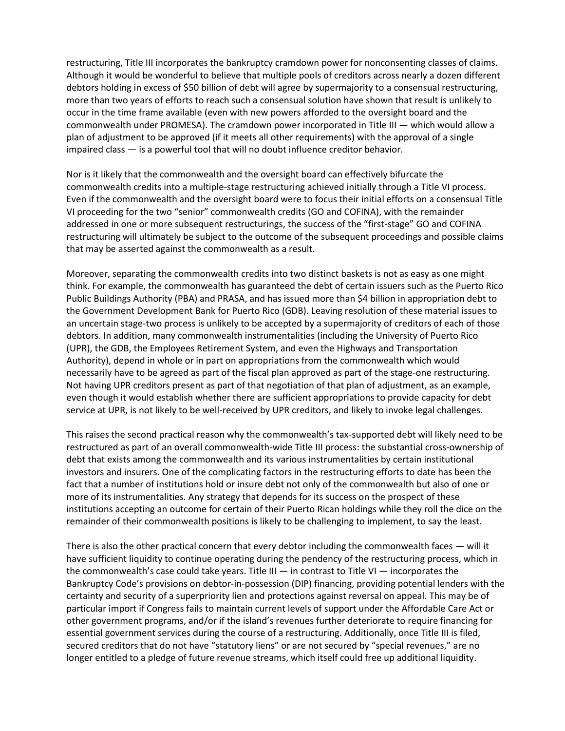restructuring, Title III incorporates the bankruptcy cramdown power for nonconsenting classes of claims. Although it would be wonderful to believe that multiple pools of creditors across nearly a dozen different debtors holding in excess of \$50 billion of debt will agree by supermajority to a consensual restructuring, more than two years of efforts to reach such a consensual solution have shown that result is unlikely to occur in the time frame available (even with new powers afforded to the oversight board and the commonwealth under PROMESA). The cramdown power incorporated in Title III — which would allow a plan of adjustment to be approved (if it meets all other requirements) with the approval of a single impaired class — is a powerful tool that will no doubt influence creditor behavior.

Nor is it likely that the commonwealth and the oversight board can effectively bifurcate the commonwealth credits into a multiple-stage restructuring achieved initially through a Title VI process. Even if the commonwealth and the oversight board were to focus their initial efforts on a consensual Title VI proceeding for the two "senior" commonwealth credits (GO and COFINA), with the remainder addressed in one or more subsequent restructurings, the success of the "first-stage" GO and COFINA restructuring will ultimately be subject to the outcome of the subsequent proceedings and possible claims that may be asserted against the commonwealth as a result.

Moreover, separating the commonwealth credits into two distinct baskets is not as easy as one might think. For example, the commonwealth has guaranteed the debt of certain issuers such as the Puerto Rico Public Buildings Authority (PBA) and PRASA, and has issued more than \$4 billion in appropriation debt to the Government Development Bank for Puerto Rico (GDB). Leaving resolution of these material issues to an uncertain stage-two process is unlikely to be accepted by a supermajority of creditors of each of those debtors. In addition, many commonwealth instrumentalities (including the University of Puerto Rico (UPR), the GDB, the Employees Retirement System, and even the Highways and Transportation Authority), depend in whole or in part on appropriations from the commonwealth which would necessarily have to be agreed as part of the fiscal plan approved as part of the stage-one restructuring. Not having UPR creditors present as part of that negotiation of that plan of adjustment, as an example, even though it would establish whether there are sufficient appropriations to provide capacity for debt service at UPR, is not likely to be well-received by UPR creditors, and likely to invoke legal challenges.

This raises the second practical reason why the commonwealth's tax-supported debt will likely need to be restructured as part of an overall commonwealth-wide Title III process: the substantial cross-ownership of debt that exists among the commonwealth and its various instrumentalities by certain institutional investors and insurers. One of the complicating factors in the restructuring efforts to date has been the fact that a number of institutions hold or insure debt not only of the commonwealth but also of one or more of its instrumentalities. Any strategy that depends for its success on the prospect of these institutions accepting an outcome for certain of their Puerto Rican holdings while they roll the dice on the remainder of their commonwealth positions is likely to be challenging to implement, to say the least.

There is also the other practical concern that every debtor including the commonwealth faces  $-$  will it have sufficient liquidity to continue operating during the pendency of the restructuring process, which in the commonwealth's case could take years. Title III  $-$  in contrast to Title VI  $-$  incorporates the Bankruptcy Code's provisions on debtor-in-possession (DIP) financing, providing potential lenders with the certainty and security of a superpriority lien and protections against reversal on appeal. This may be of particular import if Congress fails to maintain current levels of support under the Affordable Care Act or other government programs, and/or if the island's revenues further deteriorate to require financing for essential government services during the course of a restructuring. Additionally, once Title III is filed, secured creditors that do not have "statutory liens" or are not secured by "special revenues," are no longer entitled to a pledge of future revenue streams, which itself could free up additional liquidity.